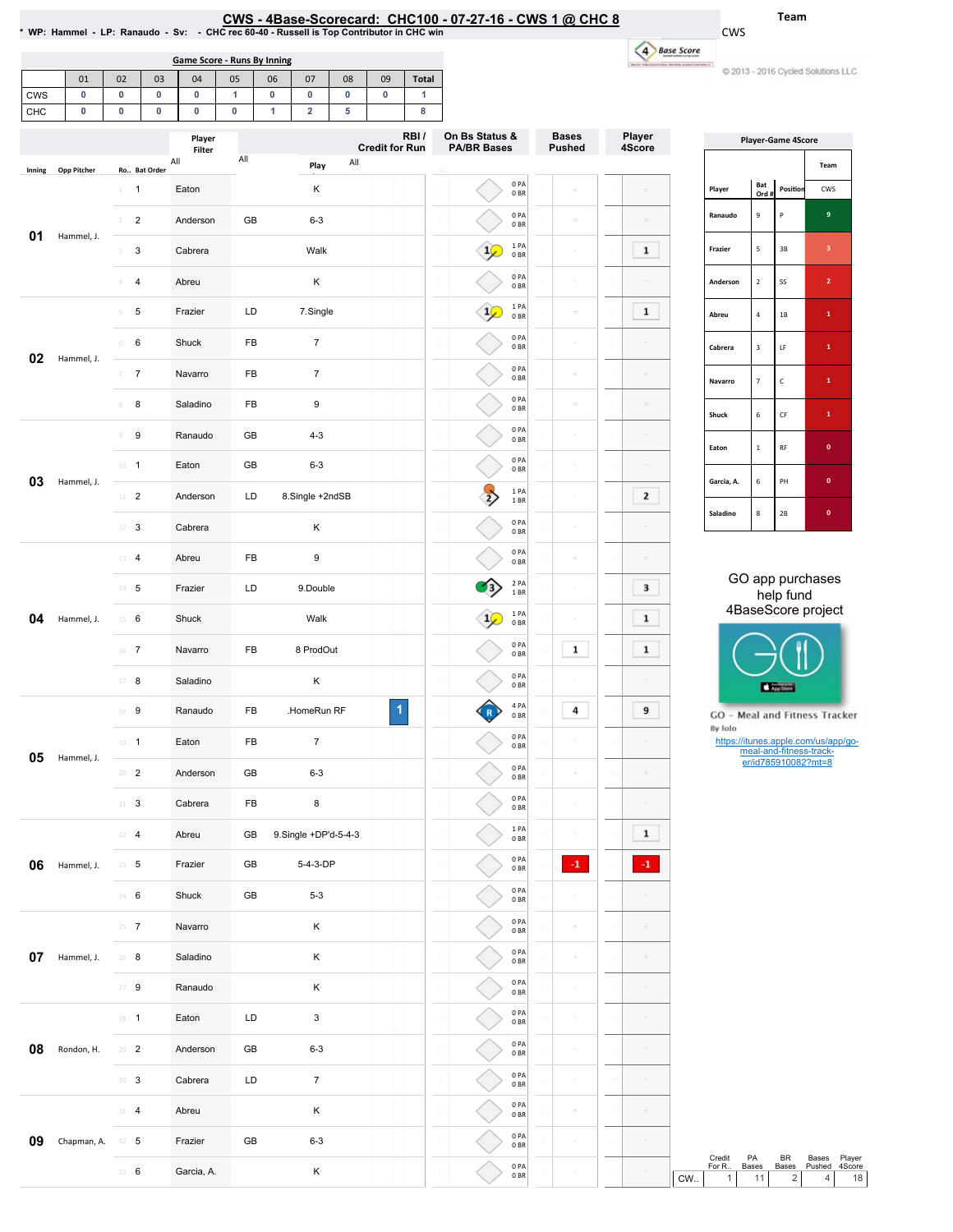## CWS - 4Base-Scorecard: CHC100 - 07-27-16 - CWS 1 @ CHC 8

\* WP: Hammel - LP: Ranaudo - Sv

01 02 03 04 05 06 07 08 09 Total

Game Score - Runs By Inning

Team

| udo - Sv: - CHC rec 60-40 - Russell is Top Contributor in CHC Wil |  |
|-------------------------------------------------------------------|--|
|                                                                   |  |

CWS 4 Base Score .<br>National contracts -

C 2013 - 2016 Cycled Solutions LLC

| <b>CWS</b>                      | $\mathbf 0$         | $\mathbf 0$     | 0<br>0         |                  | 0                   | $\mathbf{1}$ |                | $\bf{0}$         | $\mathbf 0$          | $\bf{0}$ |                       | $\bf{0}$     | 1                                    |                         |                               |                   |                           |              |         |                       |                           |                                                                         |                                     |
|---------------------------------|---------------------|-----------------|----------------|------------------|---------------------|--------------|----------------|------------------|----------------------|----------|-----------------------|--------------|--------------------------------------|-------------------------|-------------------------------|-------------------|---------------------------|--------------|---------|-----------------------|---------------------------|-------------------------------------------------------------------------|-------------------------------------|
| CHC<br>$\mathbf 0$<br>$\pmb{0}$ |                     |                 |                |                  | $\pmb{0}$<br>Player | $\bf{0}$     |                | 1                | $\overline{2}$<br>5  |          | <b>Credit for Run</b> | 8<br>RBI/    | On Bs Status &<br><b>PA/BR Bases</b> |                         | <b>Bases</b><br><b>Pushed</b> | Player<br>4Score  | <b>Player-Game 4Score</b> |              |         |                       |                           |                                                                         |                                     |
| Inning                          | <b>Opp Pitcher</b>  |                 | Ro Bat Order   | All              | Filter              |              | $\mathsf{All}$ |                  | Play                 |          | All                   |              |                                      |                         |                               |                   |                           |              |         |                       |                           |                                                                         | Team                                |
|                                 |                     | $1 \quad 1$     |                |                  | Eaton               |              |                |                  | Κ                    |          |                       |              |                                      |                         | 0PA<br>0BR                    |                   |                           |              |         | Player                | Bat<br>Ord #              | Position                                                                | CWS                                 |
| 01<br>Hammel, J.                | $^{2}$              | $\overline{2}$  |                | Anderson         |                     | GB           |                | $6 - 3$          |                      |          |                       |              |                                      | 0PA<br>0 <sub>BR</sub>  |                               | $\equiv$          |                           |              | Ranaudo | $\mathbf 9$           | $\mathsf{P}$              | $\mathbf{9}$                                                            |                                     |
|                                 | 3                   | 3               |                | Cabrera          |                     |              |                | Walk             |                      |          |                       |              | $\frac{1}{2}$                        | 1PA<br>0BR              |                               | $\equiv$          | $\mathbf{1}$              |              | Frazier | $\sqrt{5}$            | $3\mathsf{B}$             | 3 <sub>1</sub>                                                          |                                     |
|                                 |                     | 4               | $\overline{4}$ |                  | Abreu               |              |                |                  | К                    |          |                       |              |                                      |                         | 0PA<br>0 <sub>BR</sub>        |                   | $\sim$                    |              |         | Anderson              | $\overline{2}$            | SS                                                                      | $\overline{2}$                      |
|                                 |                     | 5               | 5              |                  | Frazier             |              | LD<br>7.Single |                  |                      |          |                       |              | $\frac{1}{2}$                        | 1PA<br>0BR              |                               | $\bar{ }$         | $\mathbf{1}$              |              | Abreu   | $\sqrt{4}$            | $1\mathrm{B}$             | $\mathbf 1$                                                             |                                     |
| 02                              | Hammel, J.          | 6               | 6              |                  | Shuck               |              | FB             |                  | $\overline{7}$       |          |                       |              |                                      |                         | 0PA<br>0 <sub>BR</sub>        |                   | $\sim$                    |              |         | Cabrera               | $\ensuremath{\mathsf{3}}$ | $\mathsf{LF}% _{0}\left( t\right) \equiv\mathsf{LF}_{0}\left( t\right)$ | $\mathbf{1}$                        |
|                                 |                     | 7               | $\overline{7}$ |                  | Navarro             |              | FB             |                  | $\overline{7}$       |          |                       |              |                                      |                         | 0PA<br>0 <sub>BR</sub>        |                   | $\bar{a}$                 |              |         | Navarro               | $\overline{7}$            | $\mathsf{C}$                                                            | $\mathbf{1}$                        |
|                                 |                     | 8               | 8              |                  | Saladino            |              | FB             |                  | 9                    |          |                       |              |                                      |                         | 0PA<br>0 <sub>BR</sub>        |                   | $\equiv$                  | $\equiv$     |         | Shuck                 | 6                         | $\mathsf{CF}$                                                           | $\mathbf{1}$                        |
|                                 |                     | 9               | 9              |                  | Ranaudo             |              | GB             |                  | $4 - 3$              |          |                       |              |                                      |                         | 0PA<br>0 <sub>BR</sub><br>0PA |                   | $\bar{ }$                 |              |         | Eaton                 | $1\,$                     | RF                                                                      | $\mathbf{0}^-$                      |
| 03                              | Hammel, J.          | $10 - 1$        |                |                  | Eaton               |              | GB             |                  | $6 - 3$              |          |                       |              |                                      |                         | 0BR<br>1PA                    |                   | $\sim$                    | $\equiv$     |         | Garcia, A.            | $\,$ 6 $\,$               | PH                                                                      | $\pmb{0}$                           |
|                                 |                     | $11$ 2          |                |                  | Anderson            |              | LD             |                  | 8.Single +2ndSB      |          |                       |              |                                      | $\overrightarrow{2}$    | 1BR<br>0PA                    |                   | $\equiv$                  | 2            |         | Saladino              | $\bf8$                    | $2B$                                                                    | $\mathbf{0}$                        |
|                                 |                     | $12 \t3$        |                |                  | Cabrera             |              |                |                  | К                    |          |                       |              |                                      |                         | 0 <sub>BR</sub><br>0PA        |                   | $\sim$                    |              |         |                       |                           |                                                                         |                                     |
| 04<br>Hammel, J.                | $13 - 4$            |                 |                | Abreu            |                     | FB           |                | 9                |                      |          |                       |              |                                      | 0 <sub>BR</sub><br>2 PA |                               | $\equiv$          | $\equiv$                  |              |         |                       |                           | GO app purchases                                                        |                                     |
|                                 | $14 - 5$            |                 |                | Frazier          |                     | LD           |                | 9.Double<br>Walk |                      |          |                       |              |                                      | 1 BR<br>1PA             |                               | $\sim$            | 3                         |              |         |                       | help fund                 | 4BaseScore project                                                      |                                     |
|                                 | $15 \t 6$<br>$16$ 7 |                 |                | Shuck<br>Navarro |                     | FB           |                | 8 ProdOut        |                      |          |                       | $\mathbf{1}$ | 0 <sub>BR</sub><br>0PA               |                         | $\equiv$<br>1                 | 1<br>$\mathbf{1}$ |                           |              |         |                       |                           |                                                                         |                                     |
|                                 | $17 - 8$            |                 |                | Saladino         |                     |              |                | Κ                |                      |          |                       |              |                                      | 0 <sub>BR</sub><br>0PA  |                               |                   |                           |              |         |                       |                           |                                                                         |                                     |
|                                 |                     | 18 9            |                |                  | Ranaudo             |              | FB             |                  | .HomeRun RF          |          |                       | 1            |                                      | $\mathbb{R}$            | 0BR<br>4 PA                   |                   | 4                         | 9            |         |                       |                           | <b>CAPP Store</b>                                                       | GO - Meal and Fitness Tracker       |
|                                 |                     | $19 - 1$        |                |                  | Eaton               |              | FB             |                  | $\overline{7}$       |          |                       |              |                                      |                         | 0 <sub>BR</sub><br>0PA<br>0BR |                   | $\overline{a}$            | $\equiv$     |         | By Iolo               |                           |                                                                         | https://itunes.apple.com/us/app/go- |
| 05                              | Hammel, J.          | $20 - 2$        |                |                  | Anderson            |              | GB             |                  | $6 - 3$              |          |                       |              |                                      |                         | 0PA<br>0BR                    |                   |                           |              |         |                       |                           | meal-and-fitness-track-<br>er/id785910082?mt=8                          |                                     |
|                                 |                     | $21 - 3$        |                |                  | Cabrera             |              | FB             |                  | 8                    |          |                       |              |                                      |                         | 0PA<br>0BR                    |                   |                           |              |         |                       |                           |                                                                         |                                     |
|                                 |                     | $22 - 4$        |                |                  | Abreu               |              | <b>GB</b>      |                  | 9.Single +DP'd-5-4-3 |          |                       |              |                                      |                         | 1PA<br>0BR                    |                   |                           | $\mathbf 1$  |         |                       |                           |                                                                         |                                     |
| 06                              | Hammel, J.          | $23 - 5$        |                |                  | Frazier             |              | GB             |                  | 5-4-3-DP             |          |                       |              |                                      |                         | 0PA<br>0BR                    |                   | $-1$                      | $\mathbf{H}$ |         |                       |                           |                                                                         |                                     |
|                                 |                     | 24 6            |                |                  | Shuck               |              | GB             |                  | $5 - 3$              |          |                       |              |                                      |                         | $0$ PA<br>0 <sub>BR</sub>     |                   | $\overline{a}$            |              |         |                       |                           |                                                                         |                                     |
|                                 |                     | $25 - 7$        |                |                  | Navarro             |              |                |                  | Κ                    |          |                       |              |                                      |                         | $0$ PA<br>0BR                 |                   | $\sim$                    | $\equiv$     |         |                       |                           |                                                                         |                                     |
| 07                              | Hammel, J.          | $26 - 8$        |                |                  | Saladino            |              |                |                  | Κ                    |          |                       |              |                                      |                         | 0PA<br>0BR                    |                   | $\sim$                    | $\equiv$     |         |                       |                           |                                                                         |                                     |
|                                 |                     | $27 - 9$        |                |                  | Ranaudo             |              |                |                  | Κ                    |          |                       |              |                                      |                         | 0PA<br>0BR                    |                   | $\sim$                    |              |         |                       |                           |                                                                         |                                     |
|                                 |                     | $28 - 1$        |                |                  | Eaton               |              | LD             |                  | $\mathbf{3}$         |          |                       |              |                                      |                         | 0PA<br>0BR                    |                   | $\equiv$                  |              |         |                       |                           |                                                                         |                                     |
| 08                              | Rondon, H.          | $29 - 2$        |                |                  | Anderson            |              | GB             |                  | $6 - 3$              |          |                       |              |                                      |                         | 0PA<br>0BR                    |                   | $\sim$                    |              |         |                       |                           |                                                                         |                                     |
|                                 |                     | 30 <sup>3</sup> |                |                  | Cabrera             |              | LD             |                  | $\overline{7}$       |          |                       |              |                                      |                         | 0PA<br>0BR                    |                   | $\sim$                    |              |         |                       |                           |                                                                         |                                     |
|                                 |                     | $31 - 4$        |                |                  | Abreu               |              |                |                  | Κ                    |          |                       |              |                                      |                         | 0PA<br>0 <sub>BR</sub>        |                   | $\sim$                    | $\equiv$     |         |                       |                           |                                                                         |                                     |
| 09                              | Chapman, A.         | $32 - 5$        |                |                  | Frazier             |              | GB             |                  | $6 - 3$              |          |                       |              |                                      |                         | 0PA<br>0B                     |                   | $\equiv$                  | $\equiv$     |         | Credit                | PA                        | BR                                                                      | Player<br>Bases                     |
|                                 |                     | 33 6            |                |                  | Garcia, A.          |              |                |                  | Κ                    |          |                       |              |                                      |                         | 0PA<br>0BR                    |                   |                           |              | CW.     | For R<br>$\mathbf{1}$ | Bases<br>11               | Bases<br>$\overline{\mathbf{c}}$                                        | Pushed<br>4Score<br>$\overline{4}$  |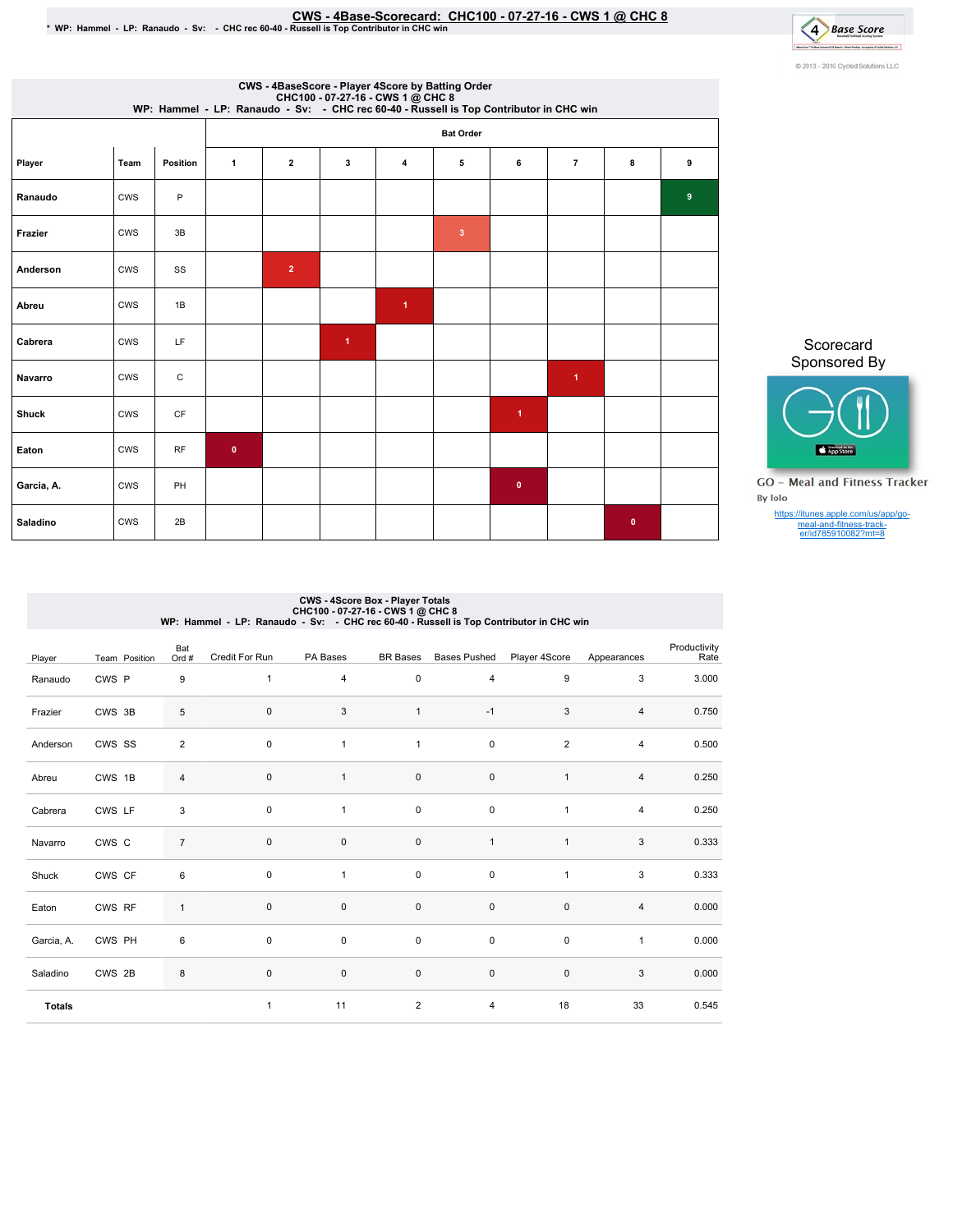## ©WS - 4Base-Scorecard: CHC100 - 07-27-16 - CWS 1 @ CHC 8 ف CWS - CWS CHC rec 60-40 - Russell is Top Contributor in CHC win



| CWS - 4BaseScore - Player 4Score by Batting Order<br>CHC100 - 07-27-16 - CWS 1 @ CHC 8<br>WP: Hammel - LP: Ranaudo - Sv: - CHC rec 60-40 - Russell is Top Contributor in CHC win |            |             |              |                         |                      |              |                |                      |                         |             |   |  |
|----------------------------------------------------------------------------------------------------------------------------------------------------------------------------------|------------|-------------|--------------|-------------------------|----------------------|--------------|----------------|----------------------|-------------------------|-------------|---|--|
| <b>Bat Order</b>                                                                                                                                                                 |            |             |              |                         |                      |              |                |                      |                         |             |   |  |
| Player                                                                                                                                                                           | Team       | Position    | $\mathbf{1}$ | $\overline{\mathbf{2}}$ | 3                    | 4            | 5              | 6                    | $\overline{7}$          | 8           | 9 |  |
| Ranaudo                                                                                                                                                                          | CWS        | P           |              |                         |                      |              |                |                      |                         |             | 9 |  |
| Frazier                                                                                                                                                                          | CWS        | 3B          |              |                         |                      |              | $\overline{3}$ |                      |                         |             |   |  |
| Anderson                                                                                                                                                                         | <b>CWS</b> | SS          |              | $\overline{2}$          |                      |              |                |                      |                         |             |   |  |
| Abreu                                                                                                                                                                            | CWS        | 1B          |              |                         |                      | $\mathbf{1}$ |                |                      |                         |             |   |  |
| Cabrera                                                                                                                                                                          | CWS        | LF          |              |                         | $\blacktriangleleft$ |              |                |                      |                         |             |   |  |
| Navarro                                                                                                                                                                          | <b>CWS</b> | $\mathsf C$ |              |                         |                      |              |                |                      | $\overline{\mathbf{1}}$ |             |   |  |
| <b>Shuck</b>                                                                                                                                                                     | <b>CWS</b> | CF          |              |                         |                      |              |                | $\blacktriangleleft$ |                         |             |   |  |
| Eaton                                                                                                                                                                            | <b>CWS</b> | RF          | $\pmb{0}$    |                         |                      |              |                |                      |                         |             |   |  |
| Garcia, A.                                                                                                                                                                       | CWS        | PH          |              |                         |                      |              |                | $\mathbf{0}$         |                         |             |   |  |
| Saladino                                                                                                                                                                         | <b>CWS</b> | 2B          |              |                         |                      |              |                |                      |                         | $\mathbf 0$ |   |  |

Scorecard Sponsored By



**GO** - Meal and Fitness Tracker By Iolo

https://itunes.apple.com/us/app/go-meal-and-fitness-track-er/id785910082?mt=8

## CWS-4ScoreBox-PlayerTotals CHC100-07-27-16-CWS1@ CHC8 WP:Hammel-LP:Ranaudo-Sv: -CHCrec60-40-RussellisTopContributorinCHCwin

| Player        | Team Position | Bat<br>Ord #   | Credit For Run | PA Bases     | <b>BR</b> Bases | <b>Bases Pushed</b> | Player 4Score  | Appearances    | Productivity<br>Rate |
|---------------|---------------|----------------|----------------|--------------|-----------------|---------------------|----------------|----------------|----------------------|
| Ranaudo       | CWS P         | 9              | $\mathbf{1}$   | 4            | $\mathsf 0$     | $\overline{4}$      | 9              | 3              | 3.000                |
| Frazier       | CWS 3B        | 5              | 0              | 3            | $\mathbf{1}$    | $-1$                | 3              | 4              | 0.750                |
| Anderson      | CWS SS        | $\overline{c}$ | $\pmb{0}$      | $\mathbf{1}$ | $\mathbf{1}$    | $\pmb{0}$           | $\overline{2}$ | $\overline{4}$ | 0.500                |
| Abreu         | CWS 1B        | $\overline{4}$ | $\pmb{0}$      | $\mathbf{1}$ | 0               | $\pmb{0}$           | $\mathbf{1}$   | $\overline{4}$ | 0.250                |
| Cabrera       | CWS LF        | $\mathsf 3$    | 0              | $\mathbf{1}$ | 0               | $\pmb{0}$           | $\mathbf{1}$   | $\overline{4}$ | 0.250                |
| Navarro       | CWS C         | $\overline{7}$ | 0              | $\mathbf 0$  | $\mathsf 0$     | $\mathbf{1}$        | $\mathbf{1}$   | 3              | 0.333                |
| Shuck         | CWS CF        | 6              | $\mathbf 0$    | $\mathbf{1}$ | $\mathsf 0$     | $\pmb{0}$           | $\mathbf{1}$   | 3              | 0.333                |
| Eaton         | CWS RF        | $\mathbf{1}$   | 0              | $\pmb{0}$    | $\mathsf 0$     | $\pmb{0}$           | $\pmb{0}$      | $\sqrt{4}$     | 0.000                |
| Garcia, A.    | CWS PH        | 6              | $\mathbf 0$    | $\mathbf 0$  | $\mathsf 0$     | $\mathbf 0$         | $\pmb{0}$      | $\mathbf{1}$   | 0.000                |
| Saladino      | CWS 2B        | 8              | $\mathbf 0$    | $\mathsf 0$  | $\mathsf 0$     | $\mathsf 0$         | $\mathbf 0$    | 3              | 0.000                |
| <b>Totals</b> |               |                | $\mathbf{1}$   | 11           | $\overline{2}$  | 4                   | 18             | 33             | 0.545                |